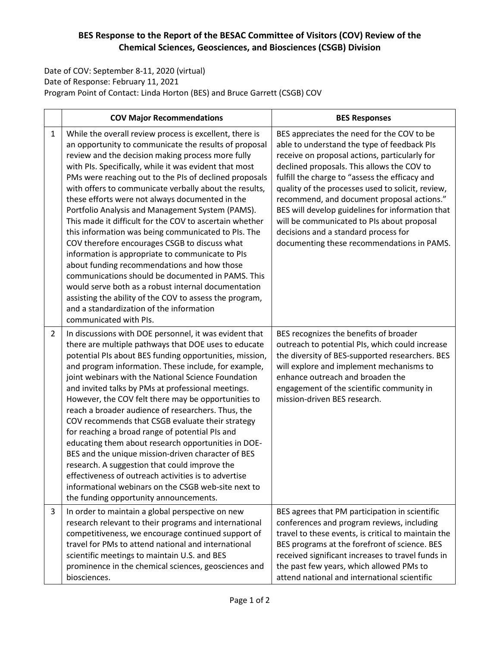## **BES Response to the Report of the BESAC Committee of Visitors (COV) Review of the Chemical Sciences, Geosciences, and Biosciences (CSGB) Division**

Date of COV: September 8-11, 2020 (virtual) Date of Response: February 11, 2021 Program Point of Contact: Linda Horton (BES) and Bruce Garrett (CSGB) COV

|                | <b>COV Major Recommendations</b>                                                                                                                                                                                                                                                                                                                                                                                                                                                                                                                                                                                                                                                                                                                                                                                                                                                                                                                                              | <b>BES Responses</b>                                                                                                                                                                                                                                                                                                                                                                                                                                                                                                                  |
|----------------|-------------------------------------------------------------------------------------------------------------------------------------------------------------------------------------------------------------------------------------------------------------------------------------------------------------------------------------------------------------------------------------------------------------------------------------------------------------------------------------------------------------------------------------------------------------------------------------------------------------------------------------------------------------------------------------------------------------------------------------------------------------------------------------------------------------------------------------------------------------------------------------------------------------------------------------------------------------------------------|---------------------------------------------------------------------------------------------------------------------------------------------------------------------------------------------------------------------------------------------------------------------------------------------------------------------------------------------------------------------------------------------------------------------------------------------------------------------------------------------------------------------------------------|
| $\mathbf{1}$   | While the overall review process is excellent, there is<br>an opportunity to communicate the results of proposal<br>review and the decision making process more fully<br>with PIs. Specifically, while it was evident that most<br>PMs were reaching out to the PIs of declined proposals<br>with offers to communicate verbally about the results,<br>these efforts were not always documented in the<br>Portfolio Analysis and Management System (PAMS).<br>This made it difficult for the COV to ascertain whether<br>this information was being communicated to PIs. The<br>COV therefore encourages CSGB to discuss what<br>information is appropriate to communicate to PIs<br>about funding recommendations and how those<br>communications should be documented in PAMS. This<br>would serve both as a robust internal documentation<br>assisting the ability of the COV to assess the program,<br>and a standardization of the information<br>communicated with PIs. | BES appreciates the need for the COV to be<br>able to understand the type of feedback PIs<br>receive on proposal actions, particularly for<br>declined proposals. This allows the COV to<br>fulfill the charge to "assess the efficacy and<br>quality of the processes used to solicit, review,<br>recommend, and document proposal actions."<br>BES will develop guidelines for information that<br>will be communicated to PIs about proposal<br>decisions and a standard process for<br>documenting these recommendations in PAMS. |
| $\overline{2}$ | In discussions with DOE personnel, it was evident that<br>there are multiple pathways that DOE uses to educate<br>potential PIs about BES funding opportunities, mission,<br>and program information. These include, for example,<br>joint webinars with the National Science Foundation<br>and invited talks by PMs at professional meetings.<br>However, the COV felt there may be opportunities to<br>reach a broader audience of researchers. Thus, the<br>COV recommends that CSGB evaluate their strategy<br>for reaching a broad range of potential PIs and<br>educating them about research opportunities in DOE-<br>BES and the unique mission-driven character of BES<br>research. A suggestion that could improve the<br>effectiveness of outreach activities is to advertise<br>informational webinars on the CSGB web-site next to<br>the funding opportunity announcements.                                                                                     | BES recognizes the benefits of broader<br>outreach to potential PIs, which could increase<br>the diversity of BES-supported researchers. BES<br>will explore and implement mechanisms to<br>enhance outreach and broaden the<br>engagement of the scientific community in<br>mission-driven BES research.                                                                                                                                                                                                                             |
| 3              | In order to maintain a global perspective on new<br>research relevant to their programs and international<br>competitiveness, we encourage continued support of<br>travel for PMs to attend national and international<br>scientific meetings to maintain U.S. and BES<br>prominence in the chemical sciences, geosciences and<br>biosciences.                                                                                                                                                                                                                                                                                                                                                                                                                                                                                                                                                                                                                                | BES agrees that PM participation in scientific<br>conferences and program reviews, including<br>travel to these events, is critical to maintain the<br>BES programs at the forefront of science. BES<br>received significant increases to travel funds in<br>the past few years, which allowed PMs to<br>attend national and international scientific                                                                                                                                                                                 |